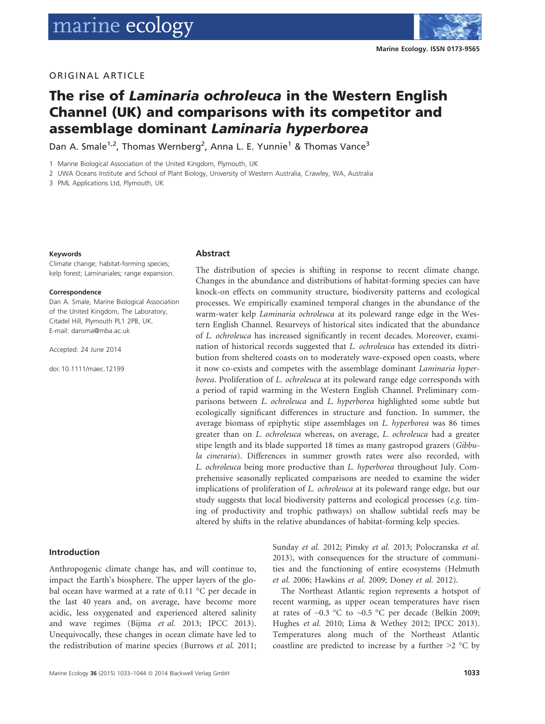

# **ORIGINAL ARTICLE**

# The rise of Laminaria ochroleuca in the Western English Channel (UK) and comparisons with its competitor and assemblage dominant Laminaria hyperborea

Dan A. Smale 1, Thomas wernberg , Anna L. E. Yunnie 1 & Thomas Vance<sup>-</sup>

1 Marine Biological Association of the United Kingdom, Plymouth, UK

2 UWA Oceans Institute and School of Plant Biology, University of Western Australia, Crawley, WA, Australia

3 PML Applications Ltd, Plymouth, UK

#### Keywords

Climate change; habitat-forming species; kelp forest; Laminariales; range expansion.

#### Correspondence

Dan A. Smale, Marine Biological Association of the United Kingdom, The Laboratory, Citadel Hill, Plymouth PL1 2PB, UK. E-mail: dansma@mba.ac.uk

Accepted: 24 June 2014

doi: 10.1111/maec.12199

#### Abstract

The distribution of species is shifting in response to recent climate change. Changes in the abundance and distributions of habitat-forming species can have knock-on effects on community structure, biodiversity patterns and ecological processes. We empirically examined temporal changes in the abundance of the warm-water kelp Laminaria ochroleuca at its poleward range edge in the Western English Channel. Resurveys of historical sites indicated that the abundance of L. ochroleuca has increased significantly in recent decades. Moreover, examination of historical records suggested that *L. ochroleuca* has extended its distribution from sheltered coasts on to moderately wave-exposed open coasts, where it now co-exists and competes with the assemblage dominant Laminaria hyperborea. Proliferation of L. ochroleuca at its poleward range edge corresponds with a period of rapid warming in the Western English Channel. Preliminary comparisons between L. ochroleuca and L. hyperborea highlighted some subtle but ecologically significant differences in structure and function. In summer, the average biomass of epiphytic stipe assemblages on L. hyperborea was 86 times greater than on L. ochroleuca whereas, on average, L. ochroleuca had a greater stipe length and its blade supported 18 times as many gastropod grazers (*Gibbu*la cineraria). Differences in summer growth rates were also recorded, with L. ochroleuca being more productive than L. hyperborea throughout July. Comprehensive seasonally replicated comparisons are needed to examine the wider implications of proliferation of L. ochroleuca at its poleward range edge, but our study suggests that local biodiversity patterns and ecological processes (e.g. timing of productivity and trophic pathways) on shallow subtidal reefs may be altered by shifts in the relative abundances of habitat-forming kelp species.

#### Introduction

Anthropogenic climate change has, and will continue to, impact the Earth's biosphere. The upper layers of the global ocean have warmed at a rate of 0.11 °C per decade in the last 40 years and, on average, have become more acidic, less oxygenated and experienced altered salinity and wave regimes (Bijma et al. 2013; IPCC 2013). Unequivocally, these changes in ocean climate have led to the redistribution of marine species (Burrows et al. 2011; Sunday et al. 2012; Pinsky et al. 2013; Poloczanska et al. 2013), with consequences for the structure of communities and the functioning of entire ecosystems (Helmuth et al. 2006; Hawkins et al. 2009; Doney et al. 2012).

The Northeast Atlantic region represents a hotspot of recent warming, as upper ocean temperatures have risen at rates of  $\sim$ 0.3 °C to  $\sim$ 0.5 °C per decade (Belkin 2009; Hughes et al. 2010; Lima & Wethey 2012; IPCC 2013). Temperatures along much of the Northeast Atlantic coastline are predicted to increase by a further  $\geq 2$  °C by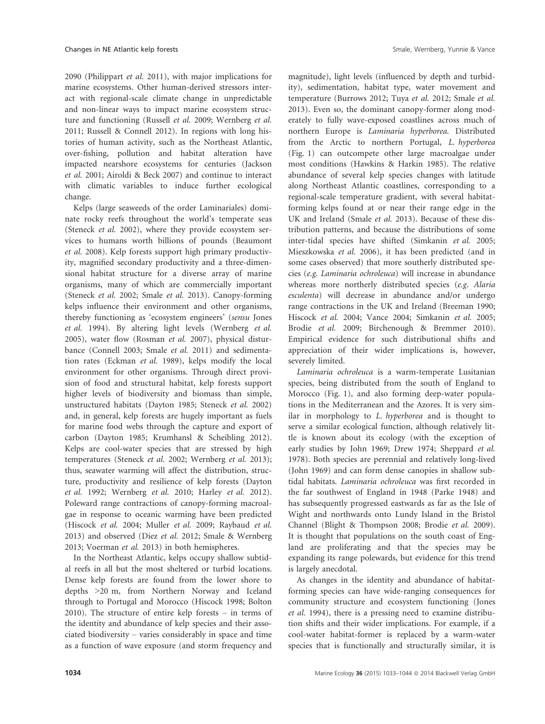2090 (Philippart et al. 2011), with major implications for marine ecosystems. Other human-derived stressors interact with regional-scale climate change in unpredictable and non-linear ways to impact marine ecosystem structure and functioning (Russell et al. 2009; Wernberg et al. 2011; Russell & Connell 2012). In regions with long histories of human activity, such as the Northeast Atlantic, over-fishing, pollution and habitat alteration have impacted nearshore ecosystems for centuries (Jackson et al. 2001; Airoldi & Beck 2007) and continue to interact with climatic variables to induce further ecological change.

Kelps (large seaweeds of the order Laminariales) dominate rocky reefs throughout the world's temperate seas (Steneck et al. 2002), where they provide ecosystem services to humans worth billions of pounds (Beaumont et al. 2008). Kelp forests support high primary productivity, magnified secondary productivity and a three-dimensional habitat structure for a diverse array of marine organisms, many of which are commercially important (Steneck et al. 2002; Smale et al. 2013). Canopy-forming kelps influence their environment and other organisms, thereby functioning as 'ecosystem engineers' (sensu Jones et al. 1994). By altering light levels (Wernberg et al. 2005), water flow (Rosman et al. 2007), physical disturbance (Connell 2003; Smale et al. 2011) and sedimentation rates (Eckman et al. 1989), kelps modify the local environment for other organisms. Through direct provision of food and structural habitat, kelp forests support higher levels of biodiversity and biomass than simple, unstructured habitats (Dayton 1985; Steneck et al. 2002) and, in general, kelp forests are hugely important as fuels for marine food webs through the capture and export of carbon (Dayton 1985; Krumhansl & Scheibling 2012). Kelps are cool-water species that are stressed by high temperatures (Steneck et al. 2002; Wernberg et al. 2013); thus, seawater warming will affect the distribution, structure, productivity and resilience of kelp forests (Dayton et al. 1992; Wernberg et al. 2010; Harley et al. 2012). Poleward range contractions of canopy-forming macroalgae in response to oceanic warming have been predicted (Hiscock et al. 2004; Muller et al. 2009; Raybaud et al. 2013) and observed (Diez et al. 2012; Smale & Wernberg 2013; Voerman et al. 2013) in both hemispheres.

In the Northeast Atlantic, kelps occupy shallow subtidal reefs in all but the most sheltered or turbid locations. Dense kelp forests are found from the lower shore to depths >20 m, from Northern Norway and Iceland through to Portugal and Morocco (Hiscock 1998; Bolton 2010). The structure of entire kelp forests – in terms of the identity and abundance of kelp species and their associated biodiversity – varies considerably in space and time as a function of wave exposure (and storm frequency and

magnitude), light levels (influenced by depth and turbidity), sedimentation, habitat type, water movement and temperature (Burrows 2012; Tuya et al. 2012; Smale et al. 2013). Even so, the dominant canopy-former along moderately to fully wave-exposed coastlines across much of northern Europe is Laminaria hyperborea. Distributed from the Arctic to northern Portugal, L. hyperborea (Fig. 1) can outcompete other large macroalgae under most conditions (Hawkins & Harkin 1985). The relative abundance of several kelp species changes with latitude along Northeast Atlantic coastlines, corresponding to a regional-scale temperature gradient, with several habitatforming kelps found at or near their range edge in the UK and Ireland (Smale et al. 2013). Because of these distribution patterns, and because the distributions of some inter-tidal species have shifted (Simkanin et al. 2005; Mieszkowska et al. 2006), it has been predicted (and in some cases observed) that more southerly distributed species (e.g. Laminaria ochroleuca) will increase in abundance whereas more northerly distributed species (e.g. Alaria esculenta) will decrease in abundance and/or undergo range contractions in the UK and Ireland (Breeman 1990; Hiscock et al. 2004; Vance 2004; Simkanin et al. 2005; Brodie et al. 2009; Birchenough & Bremmer 2010). Empirical evidence for such distributional shifts and appreciation of their wider implications is, however, severely limited.

Laminaria ochroleuca is a warm-temperate Lusitanian species, being distributed from the south of England to Morocco (Fig. 1), and also forming deep-water populations in the Mediterranean and the Azores. It is very similar in morphology to L. hyperborea and is thought to serve a similar ecological function, although relatively little is known about its ecology (with the exception of early studies by John 1969; Drew 1974; Sheppard et al. 1978). Both species are perennial and relatively long-lived (John 1969) and can form dense canopies in shallow subtidal habitats. Laminaria ochroleuca was first recorded in the far southwest of England in 1948 (Parke 1948) and has subsequently progressed eastwards as far as the Isle of Wight and northwards onto Lundy Island in the Bristol Channel (Blight & Thompson 2008; Brodie et al. 2009). It is thought that populations on the south coast of England are proliferating and that the species may be expanding its range polewards, but evidence for this trend is largely anecdotal.

As changes in the identity and abundance of habitatforming species can have wide-ranging consequences for community structure and ecosystem functioning (Jones et al. 1994), there is a pressing need to examine distribution shifts and their wider implications. For example, if a cool-water habitat-former is replaced by a warm-water species that is functionally and structurally similar, it is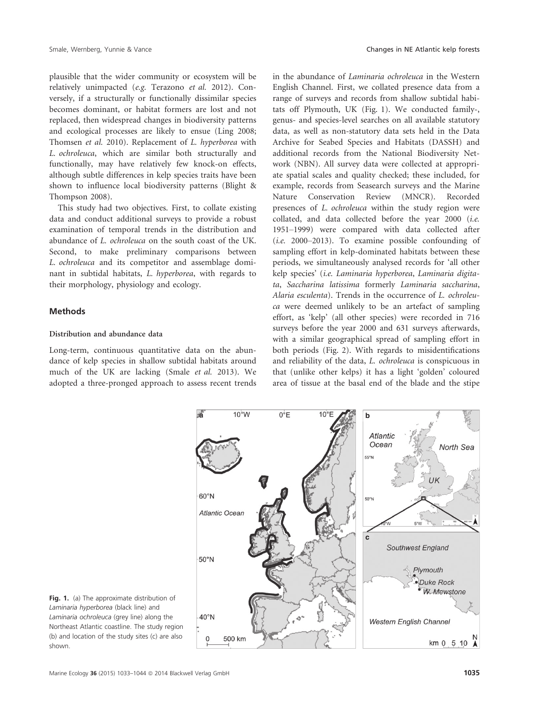plausible that the wider community or ecosystem will be relatively unimpacted (e.g. Terazono et al. 2012). Conversely, if a structurally or functionally dissimilar species becomes dominant, or habitat formers are lost and not replaced, then widespread changes in biodiversity patterns and ecological processes are likely to ensue (Ling 2008; Thomsen et al. 2010). Replacement of L. hyperborea with L. ochroleuca, which are similar both structurally and functionally, may have relatively few knock-on effects, although subtle differences in kelp species traits have been shown to influence local biodiversity patterns (Blight & Thompson 2008).

This study had two objectives. First, to collate existing data and conduct additional surveys to provide a robust examination of temporal trends in the distribution and abundance of L. ochroleuca on the south coast of the UK. Second, to make preliminary comparisons between L. ochroleuca and its competitor and assemblage dominant in subtidal habitats, L. hyperborea, with regards to their morphology, physiology and ecology.

#### Methods

#### Distribution and abundance data

Long-term, continuous quantitative data on the abundance of kelp species in shallow subtidal habitats around much of the UK are lacking (Smale et al. 2013). We adopted a three-pronged approach to assess recent trends

in the abundance of Laminaria ochroleuca in the Western English Channel. First, we collated presence data from a range of surveys and records from shallow subtidal habitats off Plymouth, UK (Fig. 1). We conducted family-, genus- and species-level searches on all available statutory data, as well as non-statutory data sets held in the Data Archive for Seabed Species and Habitats (DASSH) and additional records from the National Biodiversity Network (NBN). All survey data were collected at appropriate spatial scales and quality checked; these included, for example, records from Seasearch surveys and the Marine Nature Conservation Review (MNCR). Recorded presences of L. ochroleuca within the study region were collated, and data collected before the year 2000 (i.e. 1951–1999) were compared with data collected after (i.e. 2000–2013). To examine possible confounding of sampling effort in kelp-dominated habitats between these periods, we simultaneously analysed records for 'all other kelp species' (i.e. Laminaria hyperborea, Laminaria digitata, Saccharina latissima formerly Laminaria saccharina, Alaria esculenta). Trends in the occurrence of L. ochroleuca were deemed unlikely to be an artefact of sampling effort, as 'kelp' (all other species) were recorded in 716 surveys before the year 2000 and 631 surveys afterwards, with a similar geographical spread of sampling effort in both periods (Fig. 2). With regards to misidentifications and reliability of the data, L. ochroleuca is conspicuous in that (unlike other kelps) it has a light 'golden' coloured area of tissue at the basal end of the blade and the stipe



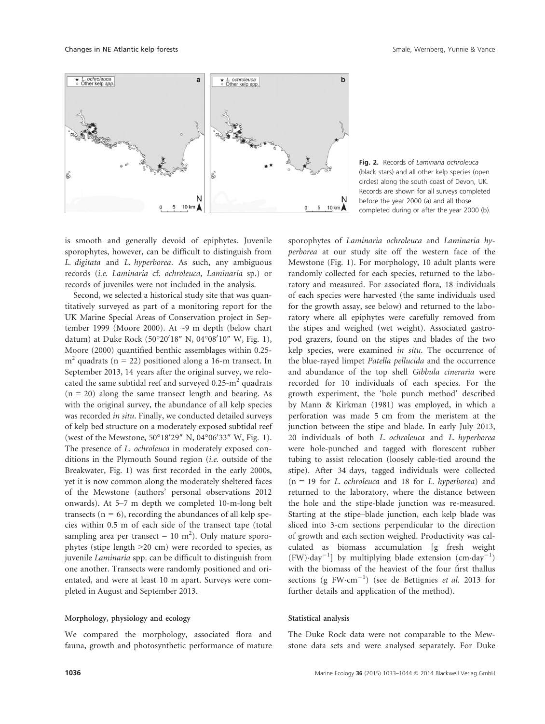Changes in NE Atlantic kelp forests Smale, Wernberg, Yunnie & Vance Smale, Wernberg, Yunnie & Vance



Fig. 2. Records of Laminaria ochroleuca (black stars) and all other kelp species (open circles) along the south coast of Devon, UK. Records are shown for all surveys completed before the year 2000 (a) and all those completed during or after the year 2000 (b).

is smooth and generally devoid of epiphytes. Juvenile sporophytes, however, can be difficult to distinguish from L. digitata and L. hyperborea. As such, any ambiguous records (i.e. Laminaria cf. ochroleuca, Laminaria sp.) or records of juveniles were not included in the analysis.

Second, we selected a historical study site that was quantitatively surveyed as part of a monitoring report for the UK Marine Special Areas of Conservation project in September 1999 (Moore 2000). At ~9 m depth (below chart datum) at Duke Rock (50°20'18" N, 04°08'10" W, Fig. 1), Moore (2000) quantified benthic assemblages within 0.25  $m<sup>2</sup>$  quadrats (n = 22) positioned along a 16-m transect. In September 2013, 14 years after the original survey, we relocated the same subtidal reef and surveyed  $0.25 \text{--} \text{m}^2$  quadrats  $(n = 20)$  along the same transect length and bearing. As with the original survey, the abundance of all kelp species was recorded in situ. Finally, we conducted detailed surveys of kelp bed structure on a moderately exposed subtidal reef (west of the Mewstone, 50°18'29" N, 04°06'33" W, Fig. 1). The presence of L. ochroleuca in moderately exposed conditions in the Plymouth Sound region (i.e. outside of the Breakwater, Fig. 1) was first recorded in the early 2000s, yet it is now common along the moderately sheltered faces of the Mewstone (authors' personal observations 2012 onwards). At 5–7 m depth we completed 10-m-long belt transects ( $n = 6$ ), recording the abundances of all kelp species within 0.5 m of each side of the transect tape (total sampling area per transect =  $10 \text{ m}^2$ ). Only mature sporophytes (stipe length >20 cm) were recorded to species, as juvenile Laminaria spp. can be difficult to distinguish from one another. Transects were randomly positioned and orientated, and were at least 10 m apart. Surveys were completed in August and September 2013.

## Morphology, physiology and ecology

We compared the morphology, associated flora and fauna, growth and photosynthetic performance of mature perborea at our study site off the western face of the Mewstone (Fig. 1). For morphology, 10 adult plants were randomly collected for each species, returned to the laboratory and measured. For associated flora, 18 individuals of each species were harvested (the same individuals used for the growth assay, see below) and returned to the laboratory where all epiphytes were carefully removed from the stipes and weighed (wet weight). Associated gastropod grazers, found on the stipes and blades of the two kelp species, were examined in situ. The occurrence of the blue-rayed limpet Patella pellucida and the occurrence and abundance of the top shell Gibbula cineraria were recorded for 10 individuals of each species. For the growth experiment, the 'hole punch method' described by Mann & Kirkman (1981) was employed, in which a perforation was made 5 cm from the meristem at the junction between the stipe and blade. In early July 2013, 20 individuals of both L. ochroleuca and L. hyperborea were hole-punched and tagged with florescent rubber tubing to assist relocation (loosely cable-tied around the stipe). After 34 days, tagged individuals were collected  $(n = 19)$  for L. ochroleuca and 18 for L. hyperborea) and returned to the laboratory, where the distance between the hole and the stipe-blade junction was re-measured. Starting at the stipe–blade junction, each kelp blade was sliced into 3-cm sections perpendicular to the direction of growth and each section weighed. Productivity was calculated as biomass accumulation [g fresh weight  $(FW)\cdot day^{-1}$ ] by multiplying blade extension  $(cm \cdot day^{-1})$ with the biomass of the heaviest of the four first thallus sections (g  $FW\cdot cm^{-1}$ ) (see de Bettignies et al. 2013 for further details and application of the method).

sporophytes of Laminaria ochroleuca and Laminaria hy-

## Statistical analysis

The Duke Rock data were not comparable to the Mewstone data sets and were analysed separately. For Duke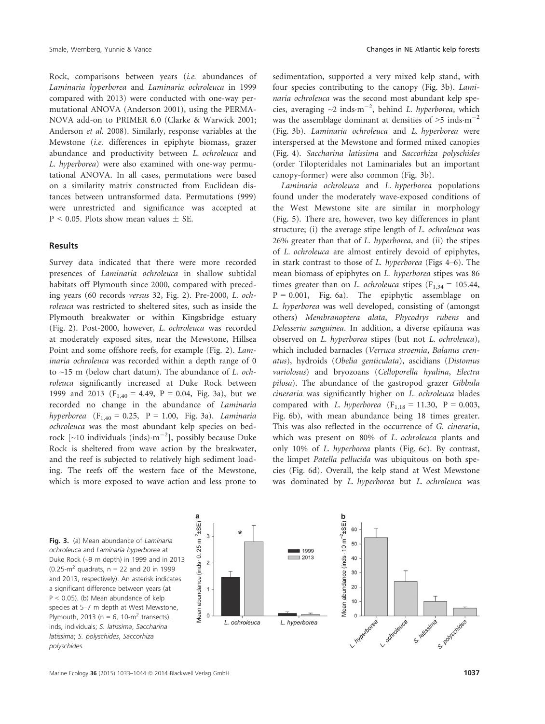Rock, comparisons between years (i.e. abundances of Laminaria hyperborea and Laminaria ochroleuca in 1999 compared with 2013) were conducted with one-way permutational ANOVA (Anderson 2001), using the PERMA-NOVA add-on to PRIMER 6.0 (Clarke & Warwick 2001; Anderson et al. 2008). Similarly, response variables at the Mewstone (i.e. differences in epiphyte biomass, grazer abundance and productivity between L. ochroleuca and L. hyperborea) were also examined with one-way permutational ANOVA. In all cases, permutations were based on a similarity matrix constructed from Euclidean distances between untransformed data. Permutations (999)

were unrestricted and significance was accepted at

 $P < 0.05$ . Plots show mean values  $\pm$  SE.

#### Results

Survey data indicated that there were more recorded presences of Laminaria ochroleuca in shallow subtidal habitats off Plymouth since 2000, compared with preceding years (60 records versus 32, Fig. 2). Pre-2000, L. ochroleuca was restricted to sheltered sites, such as inside the Plymouth breakwater or within Kingsbridge estuary (Fig. 2). Post-2000, however, L. ochroleuca was recorded at moderately exposed sites, near the Mewstone, Hillsea Point and some offshore reefs, for example (Fig. 2). Laminaria ochroleuca was recorded within a depth range of 0 to  $\sim$ 15 m (below chart datum). The abundance of *L. och*roleuca significantly increased at Duke Rock between 1999 and 2013 ( $F_{1,40} = 4.49$ ,  $P = 0.04$ , Fig. 3a), but we recorded no change in the abundance of Laminaria hyperborea  $(F_{1,40} = 0.25, P = 1.00, Fig. 3a)$ . Laminaria ochroleuca was the most abundant kelp species on bedrock  $\lceil$  ~10 individuals (inds) $\cdot$ m<sup>-2</sup>], possibly because Duke Rock is sheltered from wave action by the breakwater, and the reef is subjected to relatively high sediment loading. The reefs off the western face of the Mewstone, which is more exposed to wave action and less prone to

sedimentation, supported a very mixed kelp stand, with four species contributing to the canopy (Fig. 3b). Laminaria ochroleuca was the second most abundant kelp species, averaging  $\sim$ 2 inds $\cdot$ m<sup>-2</sup>, behind *L. hyperborea*, which was the assemblage dominant at densities of  $>5$  inds $\cdot$ m<sup>-2</sup> (Fig. 3b). Laminaria ochroleuca and L. hyperborea were interspersed at the Mewstone and formed mixed canopies (Fig. 4). Saccharina latissima and Saccorhiza polyschides (order Tilopteridales not Laminariales but an important canopy-former) were also common (Fig. 3b).

Laminaria ochroleuca and L. hyperborea populations found under the moderately wave-exposed conditions of the West Mewstone site are similar in morphology (Fig. 5). There are, however, two key differences in plant structure; (i) the average stipe length of L. ochroleuca was 26% greater than that of L. hyperborea, and (ii) the stipes of L. ochroleuca are almost entirely devoid of epiphytes, in stark contrast to those of L. hyperborea (Figs 4–6). The mean biomass of epiphytes on L. hyperborea stipes was 86 times greater than on L. ochroleuca stipes ( $F_{1,34} = 105.44$ ,  $P = 0.001$ , Fig. 6a). The epiphytic assemblage on L. hyperborea was well developed, consisting of (amongst others) Membranoptera alata, Phycodrys rubens and Delesseria sanguinea. In addition, a diverse epifauna was observed on L. hyperborea stipes (but not L. ochroleuca), which included barnacles (Verruca stroemia, Balanus crenatus), hydroids (Obelia genticulata), ascidians (Distomus variolosus) and bryozoans (Celloporella hyalina, Electra pilosa). The abundance of the gastropod grazer Gibbula cineraria was significantly higher on L. ochroleuca blades compared with *L. hyperborea* (F<sub>1,18</sub> = 11.30, P = 0.003, Fig. 6b), with mean abundance being 18 times greater. This was also reflected in the occurrence of G. cineraria, which was present on 80% of L. ochroleuca plants and only 10% of L. hyperborea plants (Fig. 6c). By contrast, the limpet Patella pellucida was ubiquitous on both species (Fig. 6d). Overall, the kelp stand at West Mewstone was dominated by L. hyperborea but L. ochroleuca was

Fig. 3. (a) Mean abundance of Laminaria ochroleuca and Laminaria hyperborea at Duke Rock (~9 m depth) in 1999 and in 2013 (0.25- $m^2$  quadrats, n = 22 and 20 in 1999 and 2013, respectively). An asterisk indicates a significant difference between years (at P < 0.05). (b) Mean abundance of kelp species at 5–7 m depth at West Mewstone, Plymouth, 2013 ( $n = 6$ , 10- $m^2$  transects). inds, individuals; S. latissima, Saccharina latissima; S. polyschides, Saccorhiza polyschides.



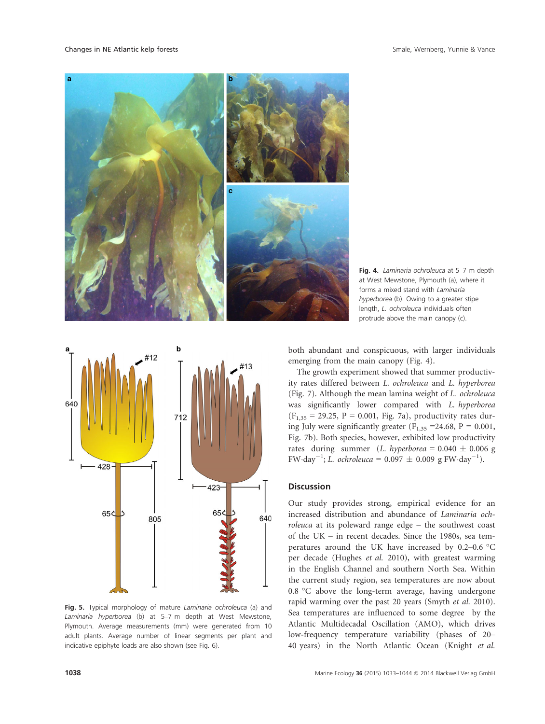Changes in NE Atlantic kelp forests Smale, Wernberg, Yunnie & Vance Smale, Wernberg, Yunnie & Vance







Fig. 5. Typical morphology of mature Laminaria ochroleuca (a) and Laminaria hyperborea (b) at 5–7 m depth at West Mewstone, Plymouth. Average measurements (mm) were generated from 10 adult plants. Average number of linear segments per plant and indicative epiphyte loads are also shown (see Fig. 6).

both abundant and conspicuous, with larger individuals emerging from the main canopy (Fig. 4).

The growth experiment showed that summer productivity rates differed between L. ochroleuca and L. hyperborea (Fig. 7). Although the mean lamina weight of L. ochroleuca was significantly lower compared with L. hyperborea  $(F_{1,35} = 29.25, P = 0.001, Fig. 7a)$ , productivity rates during July were significantly greater ( $F_{1,35}$  =24.68, P = 0.001, Fig. 7b). Both species, however, exhibited low productivity rates during summer (L. hyperborea =  $0.040 \pm 0.006$  g FW $\cdot$ day<sup>-1</sup>; *L. ochroleuca* = 0.097  $\pm$  0.009 g FW $\cdot$ day<sup>-1</sup>).

### **Discussion**

Our study provides strong, empirical evidence for an increased distribution and abundance of Laminaria ochroleuca at its poleward range edge – the southwest coast of the UK – in recent decades. Since the 1980s, sea temperatures around the UK have increased by 0.2–0.6 °C per decade (Hughes et al. 2010), with greatest warming in the English Channel and southern North Sea. Within the current study region, sea temperatures are now about 0.8 °C above the long-term average, having undergone rapid warming over the past 20 years (Smyth et al. 2010). Sea temperatures are influenced to some degree by the Atlantic Multidecadal Oscillation (AMO), which drives low-frequency temperature variability (phases of 20– 40 years) in the North Atlantic Ocean (Knight et al.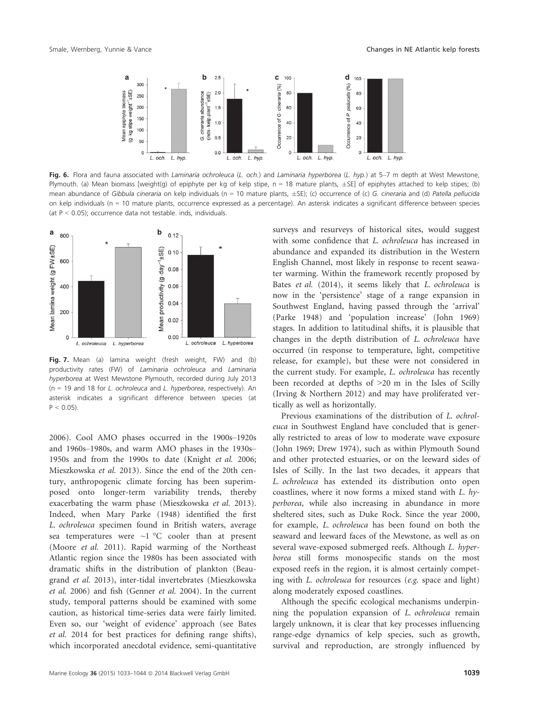

Fig. 6. Flora and fauna associated with Laminaria ochroleuca (L. och.) and Laminaria hyperborea (L. hyp.) at 5-7 m depth at West Mewstone, Plymouth. (a) Mean biomass [weight(g) of epiphyte per kg of kelp stipe,  $n = 18$  mature plants,  $\pm$ SE] of epiphytes attached to kelp stipes; (b) mean abundance of Gibbula cineraria on kelp individuals (n = 10 mature plants,  $\pm$ SE); (c) occurrence of (c) G. cineraria and (d) Patella pellucida on kelp individuals (n = 10 mature plants, occurrence expressed as a percentage). An asterisk indicates a significant difference between species (at  $P < 0.05$ ); occurrence data not testable. inds, individuals.



Fig. 7. Mean (a) lamina weight (fresh weight, FW) and (b) productivity rates (FW) of Laminaria ochroleuca and Laminaria hyperborea at West Mewstone Plymouth, recorded during July 2013 ( $n = 19$  and 18 for *L. ochroleuca* and *L. hyperborea*, respectively). An asterisk indicates a significant difference between species (at  $P < 0.05$ ).

2006). Cool AMO phases occurred in the 1900s–1920s and 1960s–1980s, and warm AMO phases in the 1930s– 1950s and from the 1990s to date (Knight et al. 2006; Mieszkowska et al. 2013). Since the end of the 20th century, anthropogenic climate forcing has been superimposed onto longer-term variability trends, thereby exacerbating the warm phase (Mieszkowska et al. 2013). Indeed, when Mary Parke (1948) identified the first L. ochroleuca specimen found in British waters, average sea temperatures were  $\sim$ 1 °C cooler than at present (Moore et al. 2011). Rapid warming of the Northeast Atlantic region since the 1980s has been associated with dramatic shifts in the distribution of plankton (Beaugrand et al. 2013), inter-tidal invertebrates (Mieszkowska et al. 2006) and fish (Genner et al. 2004). In the current study, temporal patterns should be examined with some caution, as historical time-series data were fairly limited. Even so, our 'weight of evidence' approach (see Bates et al. 2014 for best practices for defining range shifts), which incorporated anecdotal evidence, semi-quantitative surveys and resurveys of historical sites, would suggest with some confidence that L. ochroleuca has increased in abundance and expanded its distribution in the Western English Channel, most likely in response to recent seawater warming. Within the framework recently proposed by Bates et al. (2014), it seems likely that L. ochroleuca is now in the 'persistence' stage of a range expansion in Southwest England, having passed through the 'arrival' (Parke 1948) and 'population increase' (John 1969) stages. In addition to latitudinal shifts, it is plausible that changes in the depth distribution of L. ochroleuca have occurred (in response to temperature, light, competitive release, for example), but these were not considered in the current study. For example, L. ochroleuca has recently been recorded at depths of >20 m in the Isles of Scilly (Irving & Northern 2012) and may have proliferated vertically as well as horizontally.

Previous examinations of the distribution of L. ochroleuca in Southwest England have concluded that is generally restricted to areas of low to moderate wave exposure (John 1969; Drew 1974), such as within Plymouth Sound and other protected estuaries, or on the leeward sides of Isles of Scilly. In the last two decades, it appears that L. ochroleuca has extended its distribution onto open coastlines, where it now forms a mixed stand with L. hyperborea, while also increasing in abundance in more sheltered sites, such as Duke Rock. Since the year 2000, for example, L. ochroleuca has been found on both the seaward and leeward faces of the Mewstone, as well as on several wave-exposed submerged reefs. Although L. hyperborea still forms monospecific stands on the most exposed reefs in the region, it is almost certainly competing with L. ochroleuca for resources (e.g. space and light) along moderately exposed coastlines.

Although the specific ecological mechanisms underpinning the population expansion of L. ochroleuca remain largely unknown, it is clear that key processes influencing range-edge dynamics of kelp species, such as growth, survival and reproduction, are strongly influenced by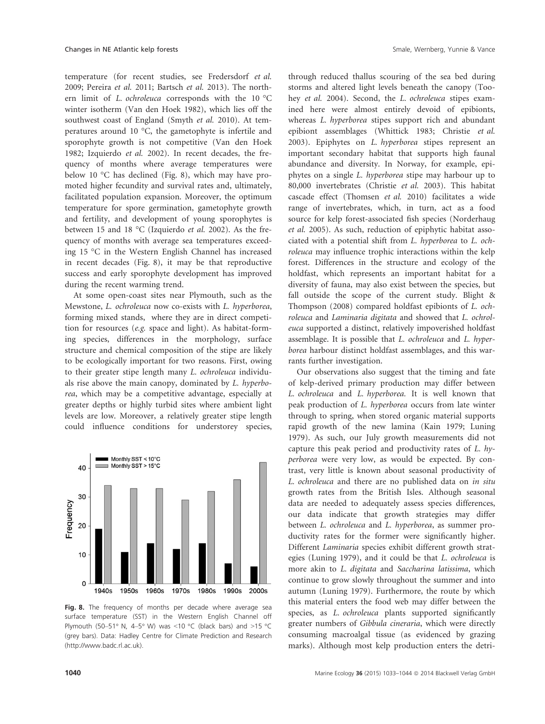temperature (for recent studies, see Fredersdorf et al. 2009; Pereira et al. 2011; Bartsch et al. 2013). The northern limit of L. ochroleuca corresponds with the 10 °C winter isotherm (Van den Hoek 1982), which lies off the southwest coast of England (Smyth et al. 2010). At temperatures around 10 °C, the gametophyte is infertile and sporophyte growth is not competitive (Van den Hoek 1982; Izquierdo et al. 2002). In recent decades, the frequency of months where average temperatures were below 10 °C has declined (Fig. 8), which may have promoted higher fecundity and survival rates and, ultimately, facilitated population expansion. Moreover, the optimum temperature for spore germination, gametophyte growth and fertility, and development of young sporophytes is between 15 and 18 °C (Izquierdo et al. 2002). As the frequency of months with average sea temperatures exceeding 15 °C in the Western English Channel has increased in recent decades (Fig. 8), it may be that reproductive success and early sporophyte development has improved during the recent warming trend.

At some open-coast sites near Plymouth, such as the Mewstone, L. ochroleuca now co-exists with L. hyperborea, forming mixed stands, where they are in direct competition for resources (e.g. space and light). As habitat-forming species, differences in the morphology, surface structure and chemical composition of the stipe are likely to be ecologically important for two reasons. First, owing to their greater stipe length many L. ochroleuca individuals rise above the main canopy, dominated by L. hyperborea, which may be a competitive advantage, especially at greater depths or highly turbid sites where ambient light levels are low. Moreover, a relatively greater stipe length could influence conditions for understorey species,



Fig. 8. The frequency of months per decade where average sea surface temperature (SST) in the Western English Channel off Plymouth (50–51° N, 4–5° W) was <10 °C (black bars) and >15 °C (grey bars). Data: Hadley Centre for Climate Prediction and Research (http://www.badc.rl.ac.uk).

through reduced thallus scouring of the sea bed during storms and altered light levels beneath the canopy (Toohey et al. 2004). Second, the L. ochroleuca stipes examined here were almost entirely devoid of epibionts, whereas L. hyperborea stipes support rich and abundant epibiont assemblages (Whittick 1983; Christie et al. 2003). Epiphytes on L. hyperborea stipes represent an important secondary habitat that supports high faunal abundance and diversity. In Norway, for example, epiphytes on a single L. hyperborea stipe may harbour up to 80,000 invertebrates (Christie et al. 2003). This habitat cascade effect (Thomsen et al. 2010) facilitates a wide range of invertebrates, which, in turn, act as a food source for kelp forest-associated fish species (Norderhaug et al. 2005). As such, reduction of epiphytic habitat associated with a potential shift from L. hyperborea to L. ochroleuca may influence trophic interactions within the kelp forest. Differences in the structure and ecology of the holdfast, which represents an important habitat for a diversity of fauna, may also exist between the species, but fall outside the scope of the current study. Blight & Thompson (2008) compared holdfast epibionts of L. ochroleuca and Laminaria digitata and showed that L. ochroleuca supported a distinct, relatively impoverished holdfast assemblage. It is possible that L. ochroleuca and L. hyperborea harbour distinct holdfast assemblages, and this warrants further investigation.

Our observations also suggest that the timing and fate of kelp-derived primary production may differ between L. ochroleuca and L. hyperborea. It is well known that peak production of L. hyperborea occurs from late winter through to spring, when stored organic material supports rapid growth of the new lamina (Kain 1979; Luning 1979). As such, our July growth measurements did not capture this peak period and productivity rates of L. hyperborea were very low, as would be expected. By contrast, very little is known about seasonal productivity of L. ochroleuca and there are no published data on in situ growth rates from the British Isles. Although seasonal data are needed to adequately assess species differences, our data indicate that growth strategies may differ between L. ochroleuca and L. hyperborea, as summer productivity rates for the former were significantly higher. Different Laminaria species exhibit different growth strategies (Luning 1979), and it could be that L. ochroleuca is more akin to L. digitata and Saccharina latissima, which continue to grow slowly throughout the summer and into autumn (Luning 1979). Furthermore, the route by which this material enters the food web may differ between the species, as *L. ochroleuca* plants supported significantly greater numbers of Gibbula cineraria, which were directly consuming macroalgal tissue (as evidenced by grazing marks). Although most kelp production enters the detri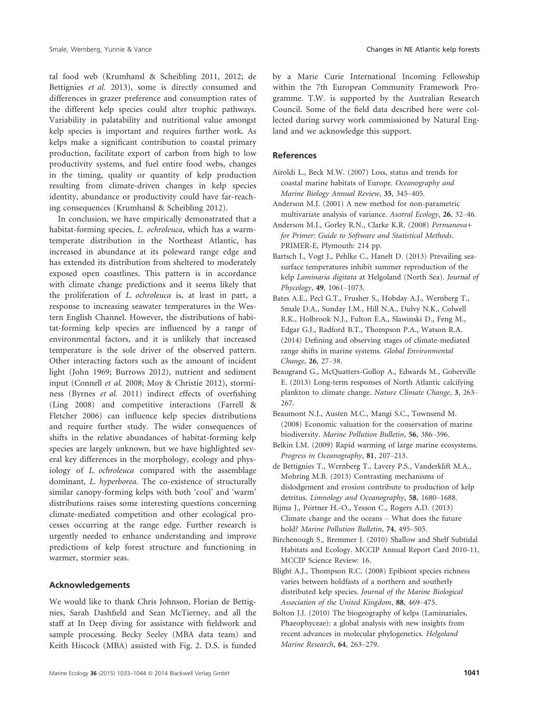tal food web (Krumhansl & Scheibling 2011, 2012; de Bettignies et al. 2013), some is directly consumed and differences in grazer preference and consumption rates of the different kelp species could alter trophic pathways. Variability in palatability and nutritional value amongst kelp species is important and requires further work. As kelps make a significant contribution to coastal primary production, facilitate export of carbon from high to low productivity systems, and fuel entire food webs, changes in the timing, quality or quantity of kelp production resulting from climate-driven changes in kelp species identity, abundance or productivity could have far-reaching consequences (Krumhansl & Scheibling 2012).

In conclusion, we have empirically demonstrated that a habitat-forming species, L. ochroleuca, which has a warmtemperate distribution in the Northeast Atlantic, has increased in abundance at its poleward range edge and has extended its distribution from sheltered to moderately exposed open coastlines. This pattern is in accordance with climate change predictions and it seems likely that the proliferation of L. ochroleuca is, at least in part, a response to increasing seawater temperatures in the Western English Channel. However, the distributions of habitat-forming kelp species are influenced by a range of environmental factors, and it is unlikely that increased temperature is the sole driver of the observed pattern. Other interacting factors such as the amount of incident light (John 1969; Burrows 2012), nutrient and sediment input (Connell et al. 2008; Moy & Christie 2012), storminess (Byrnes et al. 2011) indirect effects of overfishing (Ling 2008) and competitive interactions (Farrell & Fletcher 2006) can influence kelp species distributions and require further study. The wider consequences of shifts in the relative abundances of habitat-forming kelp species are largely unknown, but we have highlighted several key differences in the morphology, ecology and physiology of L. ochroleuca compared with the assemblage dominant, L. hyperborea. The co-existence of structurally similar canopy-forming kelps with both 'cool' and 'warm' distributions raises some interesting questions concerning climate-mediated competition and other ecological processes occurring at the range edge. Further research is urgently needed to enhance understanding and improve predictions of kelp forest structure and functioning in warmer, stormier seas.

#### Acknowledgements

We would like to thank Chris Johnson, Florian de Bettignies, Sarah Dashfield and Sean McTierney, and all the staff at In Deep diving for assistance with fieldwork and sample processing. Becky Seeley (MBA data team) and Keith Hiscock (MBA) assisted with Fig. 2. D.S. is funded by a Marie Curie International Incoming Fellowship within the 7th European Community Framework Programme. T.W. is supported by the Australian Research Council. Some of the field data described here were collected during survey work commissioned by Natural England and we acknowledge this support.

#### References

- Airoldi L., Beck M.W. (2007) Loss, status and trends for coastal marine habitats of Europe. Oceanography and Marine Biology Annual Review, 35, 345–405.
- Anderson M.J. (2001) A new method for non-parametric multivariate analysis of variance. Austral Ecology, 26, 32–46.
- Anderson M.J., Gorley R.N., Clarke K.R. (2008) Permanova+ for Primer: Guide to Software and Statistical Methods. PRIMER-E, Plymouth: 214 pp.
- Bartsch I., Vogt J., Pehlke C., Hanelt D. (2013) Prevailing seasurface temperatures inhibit summer reproduction of the kelp Laminaria digitata at Helgoland (North Sea). Journal of Phycology, 49, 1061–1073.
- Bates A.E., Pecl G.T., Frusher S., Hobday A.J., Wernberg T., Smale D.A., Sunday J.M., Hill N.A., Dulvy N.K., Colwell R.K., Holbrook N.J., Fulton E.A., Slawinski D., Feng M., Edgar G.J., Radford B.T., Thompson P.A., Watson R.A. (2014) Defining and observing stages of climate-mediated range shifts in marine systems. Global Environmental Change, 26, 27–38.
- Beaugrand G., McQuatters-Gollop A., Edwards M., Goberville E. (2013) Long-term responses of North Atlantic calcifying plankton to climate change. Nature Climate Change, 3, 263– 267.
- Beaumont N.J., Austen M.C., Mangi S.C., Townsend M. (2008) Economic valuation for the conservation of marine biodiversity. Marine Pollution Bulletin, 56, 386–396.
- Belkin I.M. (2009) Rapid warming of large marine ecosystems. Progress in Oceanography, 81, 207–213.
- de Bettignies T., Wernberg T., Lavery P.S., Vanderklift M.A., Mohring M.B. (2013) Contrasting mechanisms of dislodgement and erosion contribute to production of kelp detritus. Limnology and Oceanography, 58, 1680–1688.
- Bijma J., Pörtner H.-O., Yesson C., Rogers A.D. (2013) Climate change and the oceans – What does the future hold? Marine Pollution Bulletin, 74, 495–505.
- Birchenough S., Bremmer J. (2010) Shallow and Shelf Subtidal Habitats and Ecology. MCCIP Annual Report Card 2010-11, MCCIP Science Review: 16.
- Blight A.J., Thompson R.C. (2008) Epibiont species richness varies between holdfasts of a northern and southerly distributed kelp species. Journal of the Marine Biological Association of the United Kingdom, 88, 469–475.
- Bolton J.J. (2010) The biogeography of kelps (Laminariales, Phaeophyceae): a global analysis with new insights from recent advances in molecular phylogenetics. Helgoland Marine Research, 64, 263–279.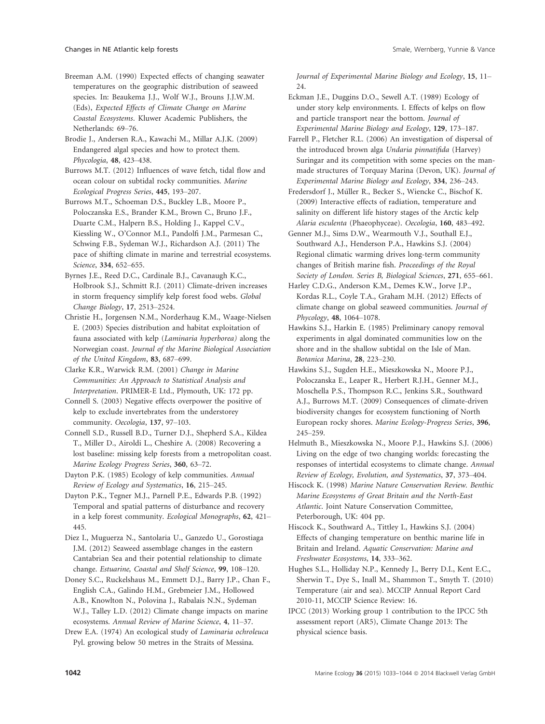Breeman A.M. (1990) Expected effects of changing seawater temperatures on the geographic distribution of seaweed species. In: Beaukema J.J., Wolf W.J., Brouns J.J.W.M. (Eds), Expected Effects of Climate Change on Marine Coastal Ecosystems. Kluwer Academic Publishers, the Netherlands: 69–76.

Brodie J., Andersen R.A., Kawachi M., Millar A.J.K. (2009) Endangered algal species and how to protect them. Phycologia, 48, 423–438.

Burrows M.T. (2012) Influences of wave fetch, tidal flow and ocean colour on subtidal rocky communities. Marine Ecological Progress Series, 445, 193–207.

Burrows M.T., Schoeman D.S., Buckley L.B., Moore P., Poloczanska E.S., Brander K.M., Brown C., Bruno J.F., Duarte C.M., Halpern B.S., Holding J., Kappel C.V., Kiessling W., O'Connor M.I., Pandolfi J.M., Parmesan C., Schwing F.B., Sydeman W.J., Richardson A.J. (2011) The pace of shifting climate in marine and terrestrial ecosystems. Science, 334, 652–655.

Byrnes J.E., Reed D.C., Cardinale B.J., Cavanaugh K.C., Holbrook S.J., Schmitt R.J. (2011) Climate-driven increases in storm frequency simplify kelp forest food webs. Global Change Biology, 17, 2513–2524.

Christie H., Jorgensen N.M., Norderhaug K.M., Waage-Nielsen E. (2003) Species distribution and habitat exploitation of fauna associated with kelp (Laminaria hyperborea) along the Norwegian coast. Journal of the Marine Biological Association of the United Kingdom, 83, 687–699.

Clarke K.R., Warwick R.M. (2001) Change in Marine Communities: An Approach to Statistical Analysis and Interpretation. PRIMER-E Ltd., Plymouth, UK: 172 pp.

Connell S. (2003) Negative effects overpower the positive of kelp to exclude invertebrates from the understorey community. Oecologia, 137, 97–103.

Connell S.D., Russell B.D., Turner D.J., Shepherd S.A., Kildea T., Miller D., Airoldi L., Cheshire A. (2008) Recovering a lost baseline: missing kelp forests from a metropolitan coast. Marine Ecology Progress Series, 360, 63–72.

Dayton P.K. (1985) Ecology of kelp communities. Annual Review of Ecology and Systematics, 16, 215–245.

Dayton P.K., Tegner M.J., Parnell P.E., Edwards P.B. (1992) Temporal and spatial patterns of disturbance and recovery in a kelp forest community. Ecological Monographs, 62, 421– 445.

Diez I., Muguerza N., Santolaria U., Ganzedo U., Gorostiaga J.M. (2012) Seaweed assemblage changes in the eastern Cantabrian Sea and their potential relationship to climate change. Estuarine, Coastal and Shelf Science, 99, 108–120.

Doney S.C., Ruckelshaus M., Emmett D.J., Barry J.P., Chan F., English C.A., Galindo H.M., Grebmeier J.M., Hollowed A.B., Knowlton N., Polovina J., Rabalais N.N., Sydeman W.J., Talley L.D. (2012) Climate change impacts on marine ecosystems. Annual Review of Marine Science, 4, 11–37.

Drew E.A. (1974) An ecological study of Laminaria ochroleuca Pyl. growing below 50 metres in the Straits of Messina.

Journal of Experimental Marine Biology and Ecology, 15, 11– 24.

Eckman J.E., Duggins D.O., Sewell A.T. (1989) Ecology of under story kelp environments. I. Effects of kelps on flow and particle transport near the bottom. Journal of Experimental Marine Biology and Ecology, 129, 173–187.

Farrell P., Fletcher R.L. (2006) An investigation of dispersal of the introduced brown alga Undaria pinnatifida (Harvey) Suringar and its competition with some species on the manmade structures of Torquay Marina (Devon, UK). Journal of Experimental Marine Biology and Ecology, 334, 236–243.

Fredersdorf J., Müller R., Becker S., Wiencke C., Bischof K. (2009) Interactive effects of radiation, temperature and salinity on different life history stages of the Arctic kelp Alaria esculenta (Phaeophyceae). Oecologia, 160, 483–492.

Genner M.J., Sims D.W., Wearmouth V.J., Southall E.J., Southward A.J., Henderson P.A., Hawkins S.J. (2004) Regional climatic warming drives long-term community changes of British marine fish. Proceedings of the Royal Society of London. Series B, Biological Sciences, 271, 655–661.

Harley C.D.G., Anderson K.M., Demes K.W., Jorve J.P., Kordas R.L., Coyle T.A., Graham M.H. (2012) Effects of climate change on global seaweed communities. Journal of Phycology, 48, 1064–1078.

Hawkins S.J., Harkin E. (1985) Preliminary canopy removal experiments in algal dominated communities low on the shore and in the shallow subtidal on the Isle of Man. Botanica Marina, 28, 223–230.

Hawkins S.J., Sugden H.E., Mieszkowska N., Moore P.J., Poloczanska E., Leaper R., Herbert R.J.H., Genner M.J., Moschella P.S., Thompson R.C., Jenkins S.R., Southward A.J., Burrows M.T. (2009) Consequences of climate-driven biodiversity changes for ecosystem functioning of North European rocky shores. Marine Ecology-Progress Series, 396, 245–259.

Helmuth B., Mieszkowska N., Moore P.J., Hawkins S.J. (2006) Living on the edge of two changing worlds: forecasting the responses of intertidal ecosystems to climate change. Annual Review of Ecology, Evolution, and Systematics, 37, 373–404.

Hiscock K. (1998) Marine Nature Conservation Review. Benthic Marine Ecosystems of Great Britain and the North-East Atlantic. Joint Nature Conservation Committee, Peterborough, UK: 404 pp.

Hiscock K., Southward A., Tittley I., Hawkins S.J. (2004) Effects of changing temperature on benthic marine life in Britain and Ireland. Aquatic Conservation: Marine and Freshwater Ecosystems, 14, 333–362.

Hughes S.L., Holliday N.P., Kennedy J., Berry D.I., Kent E.C., Sherwin T., Dye S., Inall M., Shammon T., Smyth T. (2010) Temperature (air and sea). MCCIP Annual Report Card 2010-11, MCCIP Science Review: 16.

IPCC (2013) Working group 1 contribution to the IPCC 5th assessment report (AR5), Climate Change 2013: The physical science basis.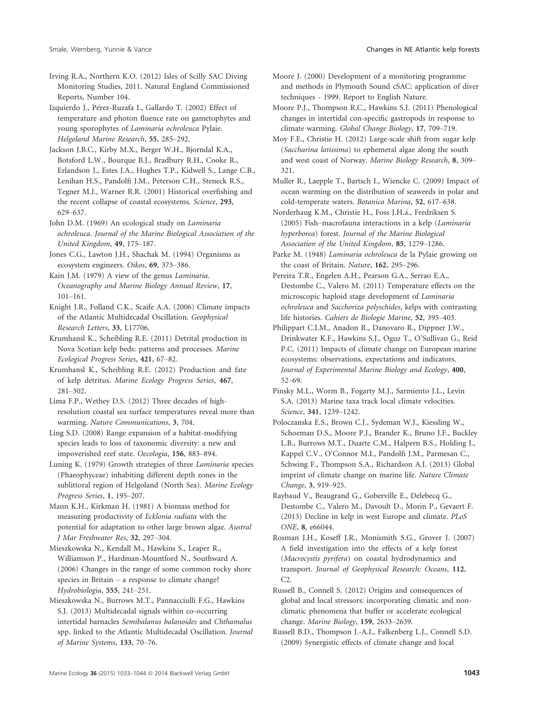Irving R.A., Northern K.O. (2012) Isles of Scilly SAC Diving Monitoring Studies, 2011. Natural England Commissioned Reports, Number 104.

Izquierdo J., Pérez-Ruzafa I., Gallardo T. (2002) Effect of temperature and photon fluence rate on gametophytes and young sporophytes of Laminaria ochroleuca Pylaie. Helgoland Marine Research, 55, 285–292.

Jackson J.B.C., Kirby M.X., Berger W.H., Bjorndal K.A., Botsford L.W., Bourque B.J., Bradbury R.H., Cooke R., Erlandson J., Estes J.A., Hughes T.P., Kidwell S., Lange C.B., Lenihan H.S., Pandolfi J.M., Peterson C.H., Steneck R.S., Tegner M.J., Warner R.R. (2001) Historical overfishing and the recent collapse of coastal ecosystems. Science, 293, 629–637.

John D.M. (1969) An ecological study on Laminaria ochroleuca. Journal of the Marine Biological Association of the United Kingdom, 49, 175–187.

Jones C.G., Lawton J.H., Shachak M. (1994) Organisms as ecosystem engineers. Oikos, 69, 373–386.

Kain J.M. (1979) A view of the genus Laminaria. Oceanography and Marine Biology Annual Review, 17, 101–161.

Knight J.R., Folland C.K., Scaife A.A. (2006) Climate impacts of the Atlantic Multidecadal Oscillation. Geophysical Research Letters, 33, L17706.

Krumhansl K., Scheibling R.E. (2011) Detrital production in Nova Scotian kelp beds: patterns and processes. Marine Ecological Progress Series, 421, 67–82.

Krumhansl K., Scheibling R.E. (2012) Production and fate of kelp detritus. Marine Ecology Progress Series, 467, 281–302.

Lima F.P., Wethey D.S. (2012) Three decades of highresolution coastal sea surface temperatures reveal more than warming. Nature Communications, 3, 704.

Ling S.D. (2008) Range expansion of a habitat-modifying species leads to loss of taxonomic diversity: a new and impoverished reef state. Oecologia, 156, 883–894.

Luning K. (1979) Growth strategies of three Laminaria species (Phaeophyceae) inhabiting different depth zones in the sublittoral region of Helgoland (North Sea). Marine Ecology Progress Series, 1, 195–207.

Mann K.H., Kirkman H. (1981) A biomass method for measuring productivity of Ecklonia radiata with the potential for adaptation to other large brown algae. Austral J Mar Freshwater Res, 32, 297–304.

Mieszkowska N., Kendall M., Hawkins S., Leaper R., Williamson P., Hardman-Mountford N., Southward A. (2006) Changes in the range of some common rocky shore species in Britain – a response to climate change? Hydrobiologia, 555, 241–251.

Mieszkowska N., Burrows M.T., Pannacciulli F.G., Hawkins S.J. (2013) Multidecadal signals within co-occurring intertidal barnacles Semibalanus balanoides and Chthamalus spp. linked to the Atlantic Multidecadal Oscillation. Journal of Marine Systems, 133, 70–76.

Moore J. (2000) Development of a monitoring programme and methods in Plymouth Sound cSAC: application of diver techniques - 1999. Report to English Nature.

Moore P.J., Thompson R.C., Hawkins S.J. (2011) Phenological changes in intertidal con-specific gastropods in response to climate warming. Global Change Biology, 17, 709–719.

Moy F.E., Christie H. (2012) Large-scale shift from sugar kelp (Saccharina latissima) to ephemeral algae along the south and west coast of Norway. Marine Biology Research, 8, 309– 321.

Muller R., Laepple T., Bartsch I., Wiencke C. (2009) Impact of ocean warming on the distribution of seaweeds in polar and cold-temperate waters. Botanica Marina, 52, 617–638.

Norderhaug K.M., Christie H., Foss J.H.a., Fredriksen S. (2005) Fish–macrofauna interactions in a kelp (Laminaria hyperborea) forest. Journal of the Marine Biological Association of the United Kingdom, 85, 1279–1286.

Parke M. (1948) Laminaria ochroleuca de la Pylaie growing on the coast of Britain. Nature, 162, 295–296.

Pereira T.R., Engelen A.H., Pearson G.A., Serrao E.A., Destombe C., Valero M. (2011) Temperature effects on the microscopic haploid stage development of Laminaria ochroleuca and Sacchoriza polyschides, kelps with contrasting life histories. Cahiers de Biologie Marine, 52, 395–403.

Philippart C.J.M., Anadon R., Danovaro R., Dippner J.W., Drinkwater K.F., Hawkins S.J., Oguz T., O'Sullivan G., Reid P.C. (2011) Impacts of climate change on European marine ecosystems: observations, expectations and indicators. Journal of Experimental Marine Biology and Ecology, 400, 52–69.

Pinsky M.L., Worm B., Fogarty M.J., Sarmiento J.L., Levin S.A. (2013) Marine taxa track local climate velocities. Science, 341, 1239–1242.

Poloczanska E.S., Brown C.J., Sydeman W.J., Kiessling W., Schoeman D.S., Moore P.J., Brander K., Bruno J.F., Buckley L.B., Burrows M.T., Duarte C.M., Halpern B.S., Holding J., Kappel C.V., O'Connor M.I., Pandolfi J.M., Parmesan C., Schwing F., Thompson S.A., Richardson A.J. (2013) Global imprint of climate change on marine life. Nature Climate Change, 3, 919–925.

Raybaud V., Beaugrand G., Goberville E., Delebecq G., Destombe C., Valero M., Davoult D., Morin P., Gevaert F. (2013) Decline in kelp in west Europe and climate. PLoS ONE, 8, e66044.

Rosman J.H., Koseff J.R., Monismith S.G., Grover J. (2007) A field investigation into the effects of a kelp forest (Macrocystis pyrifera) on coastal hydrodynamics and transport. Journal of Geophysical Research: Oceans, 112, C2.

Russell B., Connell S. (2012) Origins and consequences of global and local stressors: incorporating climatic and nonclimatic phenomena that buffer or accelerate ecological change. Marine Biology, 159, 2633–2639.

Russell B.D., Thompson J.-A.I., Falkenberg L.J., Connell S.D. (2009) Synergistic effects of climate change and local